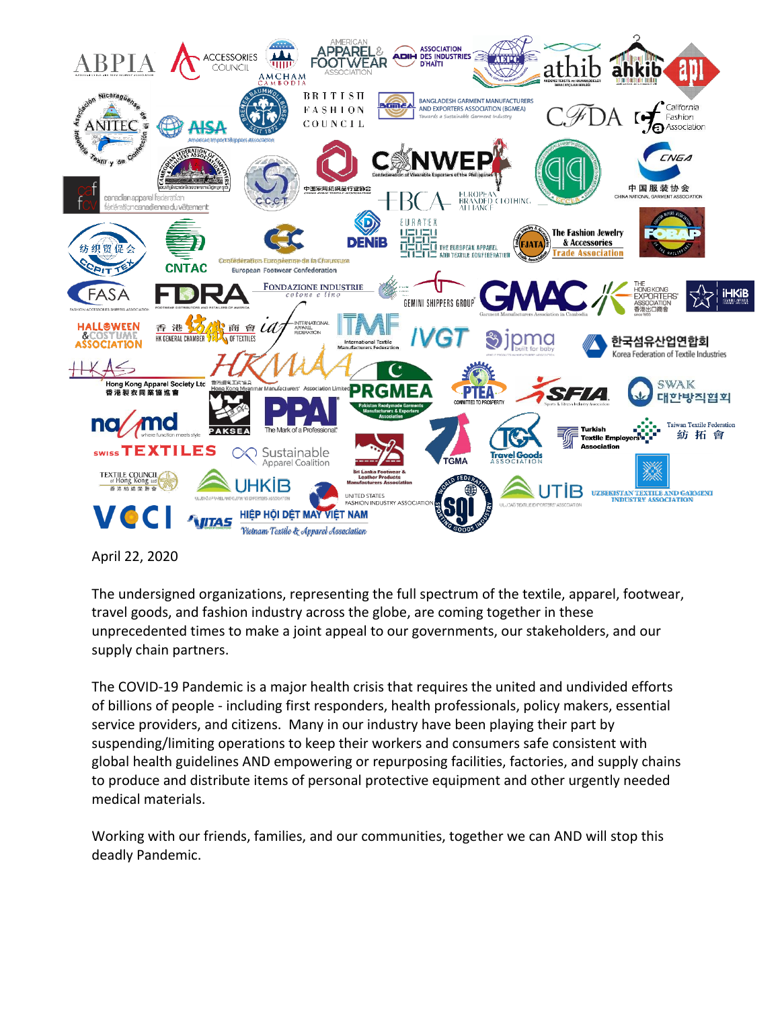

April 22, 2020

The undersigned organizations, representing the full spectrum of the textile, apparel, footwear, travel goods, and fashion industry across the globe, are coming together in these unprecedented times to make a joint appeal to our governments, our stakeholders, and our supply chain partners.

The COVID-19 Pandemic is a major health crisis that requires the united and undivided efforts of billions of people - including first responders, health professionals, policy makers, essential service providers, and citizens. Many in our industry have been playing their part by suspending/limiting operations to keep their workers and consumers safe consistent with global health guidelines AND empowering or repurposing facilities, factories, and supply chains to produce and distribute items of personal protective equipment and other urgently needed medical materials.

Working with our friends, families, and our communities, together we can AND will stop this deadly Pandemic.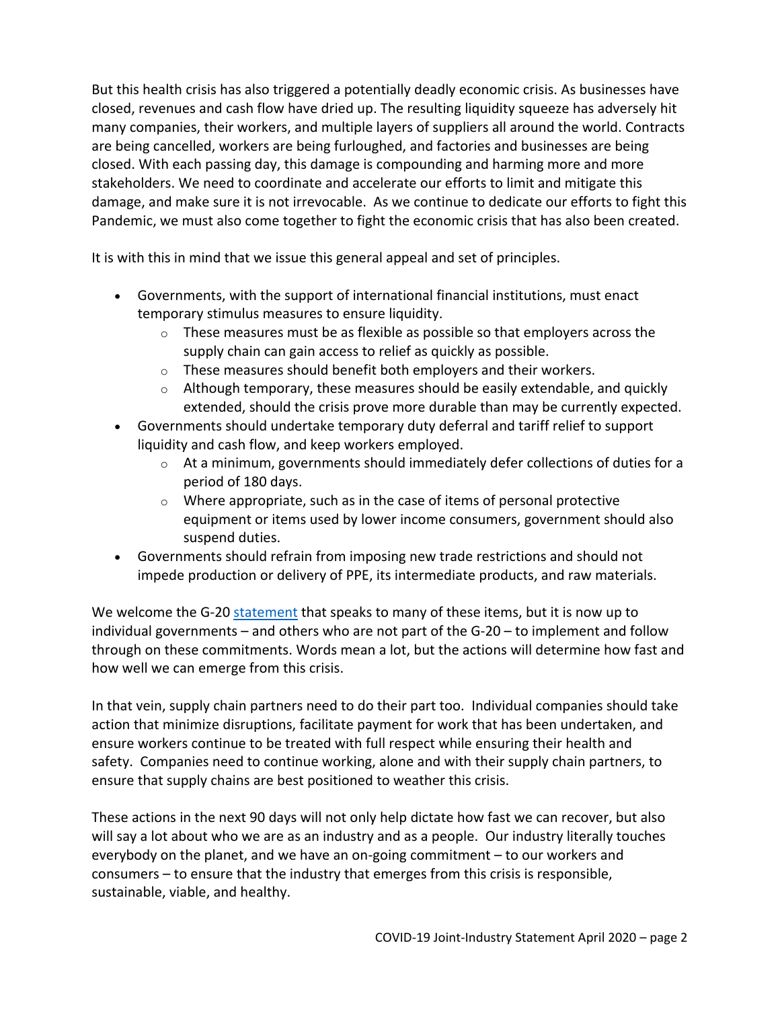But this health crisis has also triggered a potentially deadly economic crisis. As businesses have closed, revenues and cash flow have dried up. The resulting liquidity squeeze has adversely hit many companies, their workers, and multiple layers of suppliers all around the world. Contracts are being cancelled, workers are being furloughed, and factories and businesses are being closed. With each passing day, this damage is compounding and harming more and more stakeholders. We need to coordinate and accelerate our efforts to limit and mitigate this damage, and make sure it is not irrevocable. As we continue to dedicate our efforts to fight this Pandemic, we must also come together to fight the economic crisis that has also been created.

It is with this in mind that we issue this general appeal and set of principles.

- Governments, with the support of international financial institutions, must enact temporary stimulus measures to ensure liquidity.
	- $\circ$  These measures must be as flexible as possible so that employers across the supply chain can gain access to relief as quickly as possible.
	- $\circ$  These measures should benefit both employers and their workers.
	- $\circ$  Although temporary, these measures should be easily extendable, and quickly extended, should the crisis prove more durable than may be currently expected.
- Governments should undertake temporary duty deferral and tariff relief to support liquidity and cash flow, and keep workers employed.
	- $\circ$  At a minimum, governments should immediately defer collections of duties for a period of 180 days.
	- $\circ$  Where appropriate, such as in the case of items of personal protective equipment or items used by lower income consumers, government should also suspend duties.
- Governments should refrain from imposing new trade restrictions and should not impede production or delivery of PPE, its intermediate products, and raw materials.

We welcome the G-20 [statement](https://g20.org/en/media/Documents/G20_Extraordinary%20G20%20Leaders%E2%80%99%20Summit_Statement_EN%20(3).pdf) that speaks to many of these items, but it is now up to individual governments – and others who are not part of the G-20 – to implement and follow through on these commitments. Words mean a lot, but the actions will determine how fast and how well we can emerge from this crisis.

In that vein, supply chain partners need to do their part too. Individual companies should take action that minimize disruptions, facilitate payment for work that has been undertaken, and ensure workers continue to be treated with full respect while ensuring their health and safety. Companies need to continue working, alone and with their supply chain partners, to ensure that supply chains are best positioned to weather this crisis.

These actions in the next 90 days will not only help dictate how fast we can recover, but also will say a lot about who we are as an industry and as a people. Our industry literally touches everybody on the planet, and we have an on-going commitment – to our workers and consumers – to ensure that the industry that emerges from this crisis is responsible, sustainable, viable, and healthy.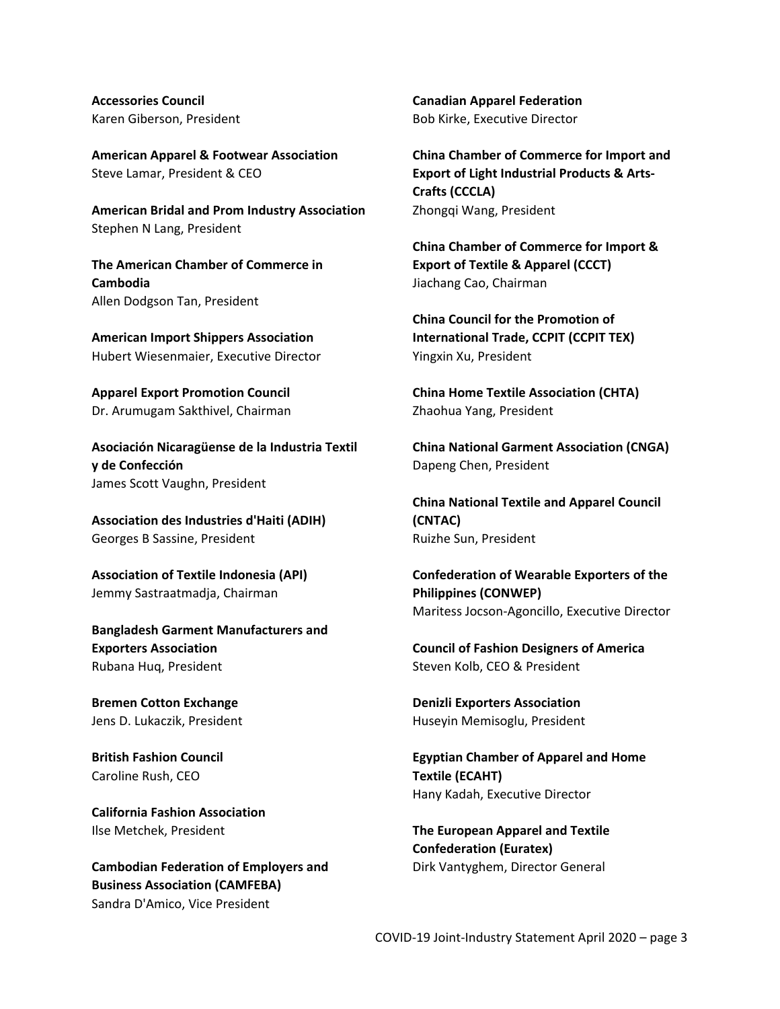**Accessories Council**  Karen Giberson, President

**American Apparel & Footwear Association** Steve Lamar, President & CEO

**American Bridal and Prom Industry Association** Stephen N Lang, President

**The American Chamber of Commerce in Cambodia** Allen Dodgson Tan, President

**American Import Shippers Association** Hubert Wiesenmaier, Executive Director

**Apparel Export Promotion Council** Dr. Arumugam Sakthivel, Chairman

**Asociación Nicaragüense de la Industria Textil y de Confección** James Scott Vaughn, President

**Association des Industries d'Haiti (ADIH)** Georges B Sassine, President

**Association of Textile Indonesia (API)** Jemmy Sastraatmadja, Chairman

**Bangladesh Garment Manufacturers and Exporters Association** Rubana Huq, President

**Bremen Cotton Exchange** Jens D. Lukaczik, President

**British Fashion Council** Caroline Rush, CEO

**California Fashion Association** Ilse Metchek, President

**Cambodian Federation of Employers and Business Association (CAMFEBA)** Sandra D'Amico, Vice President

**Canadian Apparel Federation** Bob Kirke, Executive Director

**China Chamber of Commerce for Import and Export of Light Industrial Products & Arts-Crafts (CCCLA)** Zhongqi Wang, President

**China Chamber of Commerce for Import & Export of Textile & Apparel (CCCT)** Jiachang Cao, Chairman

**China Council for the Promotion of International Trade, CCPIT (CCPIT TEX)** Yingxin Xu, President

**China Home Textile Association (CHTA)** Zhaohua Yang, President

**China National Garment Association (CNGA)** Dapeng Chen, President

**China National Textile and Apparel Council (CNTAC)** Ruizhe Sun, President

**Confederation of Wearable Exporters of the Philippines (CONWEP)** Maritess Jocson-Agoncillo, Executive Director

**Council of Fashion Designers of America** Steven Kolb, CEO & President

**Denizli Exporters Association** Huseyin Memisoglu, President

**Egyptian Chamber of Apparel and Home Textile (ECAHT)** Hany Kadah, Executive Director

**The European Apparel and Textile Confederation (Euratex)** Dirk Vantyghem, Director General

COVID-19 Joint-Industry Statement April 2020 – page 3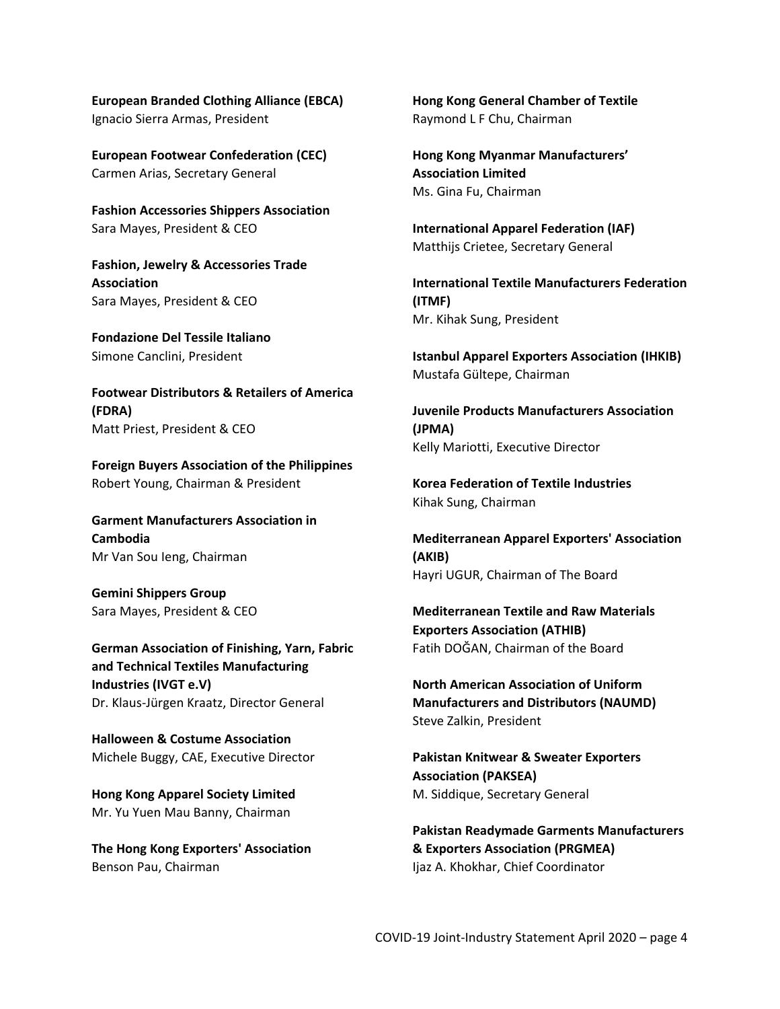**European Branded Clothing Alliance (EBCA)** Ignacio Sierra Armas, President

**European Footwear Confederation (CEC)** Carmen Arias, Secretary General

**Fashion Accessories Shippers Association** Sara Mayes, President & CEO

**Fashion, Jewelry & Accessories Trade Association** Sara Mayes, President & CEO

**Fondazione Del Tessile Italiano** Simone Canclini, President

**Footwear Distributors & Retailers of America (FDRA)** Matt Priest, President & CEO

**Foreign Buyers Association of the Philippines** Robert Young, Chairman & President

**Garment Manufacturers Association in Cambodia** Mr Van Sou Ieng, Chairman

**Gemini Shippers Group** Sara Mayes, President & CEO

**German Association of Finishing, Yarn, Fabric and Technical Textiles Manufacturing Industries (IVGT e.V)** Dr. Klaus-Jürgen Kraatz, Director General

**Halloween & Costume Association** Michele Buggy, CAE, Executive Director

**Hong Kong Apparel Society Limited** Mr. Yu Yuen Mau Banny, Chairman

**The Hong Kong Exporters' Association** Benson Pau, Chairman

**Hong Kong General Chamber of Textile** Raymond L F Chu, Chairman

**Hong Kong Myanmar Manufacturers' Association Limited** Ms. Gina Fu, Chairman

**International Apparel Federation (IAF)** Matthijs Crietee, Secretary General

**International Textile Manufacturers Federation (ITMF)** Mr. Kihak Sung, President

**Istanbul Apparel Exporters Association (IHKIB)** Mustafa Gültepe, Chairman

**Juvenile Products Manufacturers Association (JPMA)** Kelly Mariotti, Executive Director

**Korea Federation of Textile Industries** Kihak Sung, Chairman

**Mediterranean Apparel Exporters' Association (AKIB)** Hayri UGUR, Chairman of The Board

**Mediterranean Textile and Raw Materials Exporters Association (ATHIB)** Fatih DOĞAN, Chairman of the Board

**North American Association of Uniform Manufacturers and Distributors (NAUMD)** Steve Zalkin, President

**Pakistan Knitwear & Sweater Exporters Association (PAKSEA)** M. Siddique, Secretary General

**Pakistan Readymade Garments Manufacturers & Exporters Association (PRGMEA)** Ijaz A. Khokhar, Chief Coordinator